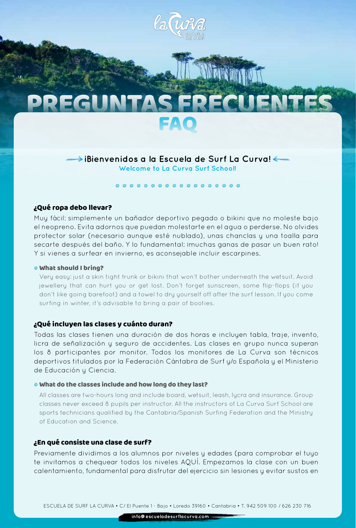

# **¡Bienvenidos a la Escuela de Surf La Curva!**

**Welcome to La Curva Surf School!**

## $000000000000000000$

## ¿Qué ropa debo llevar?

Muy fácil: simplemente un bañador deportivo pegado o bikini que no moleste bajo el neopreno. Evita adornos que puedan molestarte en el agua o perderse. No olvides protector solar (necesario aunque esté nublado), unas chanclas y una toalla para secarte después del baño. Y lo fundamental: imuchas ganas de pasar un buen rato! Y si vienes a surfear en invierno, es aconsejable incluir escarpines.

#### What should I bring?

Very easy: just a skin tight trunk or bikini that won't bother underneath the wetsuit. Avoid jewellery that can hurt you or get lost. Don't forget sunscreen, some flip-flops (if you don't like going barefoot) and a towel to dry yourself off after the surf lesson. If you come surfing in winter, it's advisable to bring a pair of booties.

#### ¿Qué incluyen las clases y cuánto duran?

Todas las clases tienen una duración de dos horas e incluyen tabla, traje, invento, licra de señalización y seguro de accidentes. Las clases en grupo nunca superan los 8 participantes por monitor. Todos los monitores de La Curva son técnicos deportivos titulados por la Federación Cántabra de Surf y/o Española y el Ministerio de Educación y Ciencia.

#### What do the classes include and how long do they last?

All classes are two-hours long and include board, wetsuit, leash, lycra and insurance. Group classes never exceed 8 pupils per instructor. All the instructors of La Curva Surf School are sports technicians qualified by the Cantabria/Spanish Surfing Federation and the Ministry of Education and Science.

#### ¿En qué consiste una clase de surf?

Previamente dividimos a los alumnos por niveles y edades (para comprobar el tuyo te invitamos a chequear todos los niveles AQUÍ. Empezamos la clase con un buen calentamiento, fundamental para disfrutar del ejercicio sin lesiones y evitar sustos en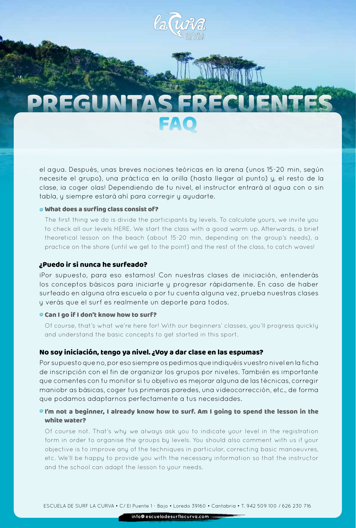

el agua. Después, unas breves nociones teóricas en la arena (unos 15-20 min, según necesite el grupo), una práctica en la orilla (hasta llegar al punto) y, el resto de la clase, ia coger olas! Dependiendo de tu nivel, el instructor entrará al agua con o sin tabla, y siempre estará ahí para corregir y ayudarte.

### What does a surfing class consist of?

The first thing we do is divide the participants by levels. To calculate yours, we invite you to check all our levels HERE. We start the class with a good warm up. Afterwards, a brief theoretical lesson on the beach (about 15-20 min, depending on the group's needs), a practice on the shore (until we get to the point) and the rest of the class, to catch waves!

#### ¿Puedo ir si nunca he surfeado?

¡Por supuesto, para eso estamos! Con nuestras clases de iniciación, entenderás los conceptos básicos para iniciarte y progresar rápidamente. En caso de haber surfeado en alguna otra escuela o por tu cuenta alguna vez, prueba nuestras clases y verás que el surf es realmente un deporte para todos.

#### **Can I go if I don't know how to surf?**

Of course, that's what we're here for! With our beginners' classes, you'll progress quickly and understand the basic concepts to get started in this sport.

#### No soy iniciación, tengo ya nivel. ¿Voy a dar clase en las espumas?

Por supuesto que no, por eso siempre os pedimos que indiquéis vuestro nivel en la ficha de inscripción con el fin de organizar los grupos por niveles. También es importante que comentes con tu monitor si tu objetivo es mejorar alguna de las técnicas, corregir maniobr as básicas, coger tus primeras paredes, una videocorrección, etc., de forma que podamos adaptarnos perfectamente a tus necesidades.

#### I'm not a beginner, I already know how to surf. Am I going to spend the lesson in the white water?

Of course not. That's why we always ask you to indicate your level in the registration form in order to organise the groups by levels. You should also comment with us if your objective is to improve any of the techniques in particular, correcting basic manoeuvres, etc. We'll be happy to provide you with the necessary information so that the instructor and the school can adapt the lesson to your needs.

 **info@escueladesurflacurva.com**